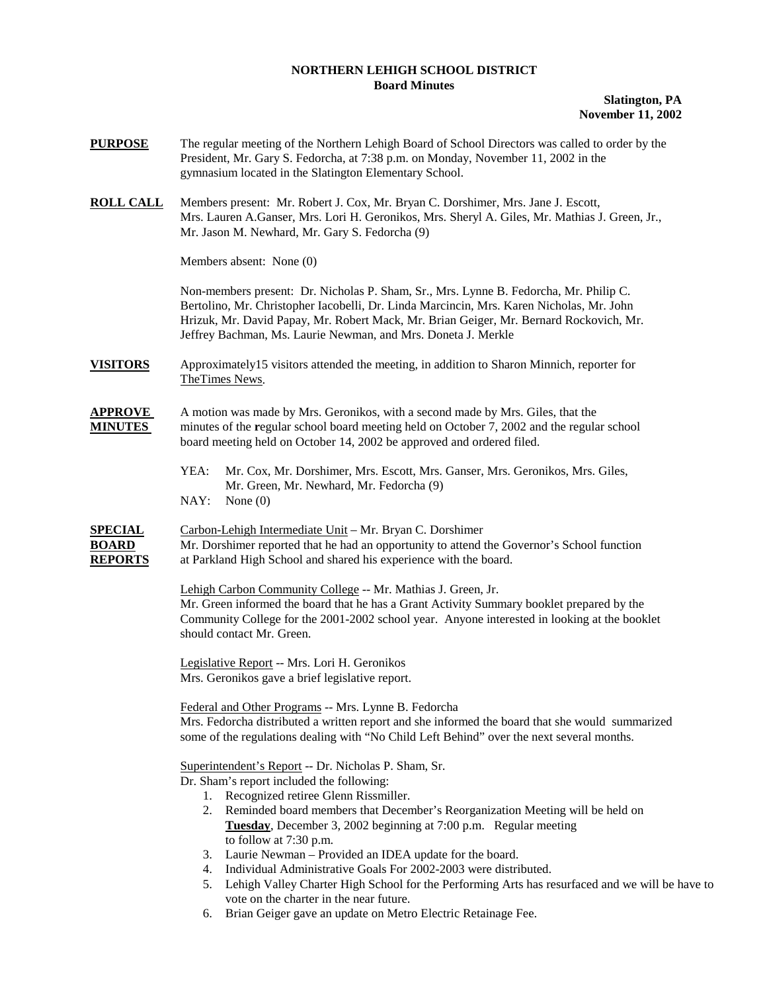## **NORTHERN LEHIGH SCHOOL DISTRICT Board Minutes**

## **Slatington, PA November 11, 2002**

- **PURPOSE** The regular meeting of the Northern Lehigh Board of School Directors was called to order by the President, Mr. Gary S. Fedorcha, at 7:38 p.m. on Monday, November 11, 2002 in the gymnasium located in the Slatington Elementary School.
- **ROLL CALL** Members present: Mr. Robert J. Cox, Mr. Bryan C. Dorshimer, Mrs. Jane J. Escott, Mrs. Lauren A.Ganser, Mrs. Lori H. Geronikos, Mrs. Sheryl A. Giles, Mr. Mathias J. Green, Jr., Mr. Jason M. Newhard, Mr. Gary S. Fedorcha (9)

Members absent: None (0)

Non-members present: Dr. Nicholas P. Sham, Sr., Mrs. Lynne B. Fedorcha, Mr. Philip C. Bertolino, Mr. Christopher Iacobelli, Dr. Linda Marcincin, Mrs. Karen Nicholas, Mr. John Hrizuk, Mr. David Papay, Mr. Robert Mack, Mr. Brian Geiger, Mr. Bernard Rockovich, Mr. Jeffrey Bachman, Ms. Laurie Newman, and Mrs. Doneta J. Merkle

**VISITORS** Approximately15 visitors attended the meeting, in addition to Sharon Minnich, reporter for TheTimes News.

## **APPROVE** A motion was made by Mrs. Geronikos, with a second made by Mrs. Giles, that the **MINUTES** minutes of the **r**egular school board meeting held on October 7, 2002 and the regular school board meeting held on October 14, 2002 be approved and ordered filed.

 YEA: Mr. Cox, Mr. Dorshimer, Mrs. Escott, Mrs. Ganser, Mrs. Geronikos, Mrs. Giles, Mr. Green, Mr. Newhard, Mr. Fedorcha (9) NAY: None (0)

**SPECIAL** Carbon-Lehigh Intermediate Unit – Mr. Bryan C. Dorshimer **BOARD** Mr. Dorshimer reported that he had an opportunity to attend the Governor's School function **REPORTS** at Parkland High School and shared his experience with the board.

> Lehigh Carbon Community College -- Mr. Mathias J. Green, Jr. Mr. Green informed the board that he has a Grant Activity Summary booklet prepared by the Community College for the 2001-2002 school year. Anyone interested in looking at the booklet should contact Mr. Green.

 Legislative Report -- Mrs. Lori H. Geronikos Mrs. Geronikos gave a brief legislative report.

 Federal and Other Programs -- Mrs. Lynne B. Fedorcha Mrs. Fedorcha distributed a written report and she informed the board that she would summarized some of the regulations dealing with "No Child Left Behind" over the next several months.

Superintendent's Report -- Dr. Nicholas P. Sham, Sr.

Dr. Sham's report included the following:

- 1. Recognized retiree Glenn Rissmiller.
- 2. Reminded board members that December's Reorganization Meeting will be held on **Tuesday**, December 3, 2002 beginning at 7:00 p.m. Regular meeting to follow at 7:30 p.m.
- 3. Laurie Newman Provided an IDEA update for the board.
- 4. Individual Administrative Goals For 2002-2003 were distributed.
- 5. Lehigh Valley Charter High School for the Performing Arts has resurfaced and we will be have to vote on the charter in the near future.
- 6. Brian Geiger gave an update on Metro Electric Retainage Fee.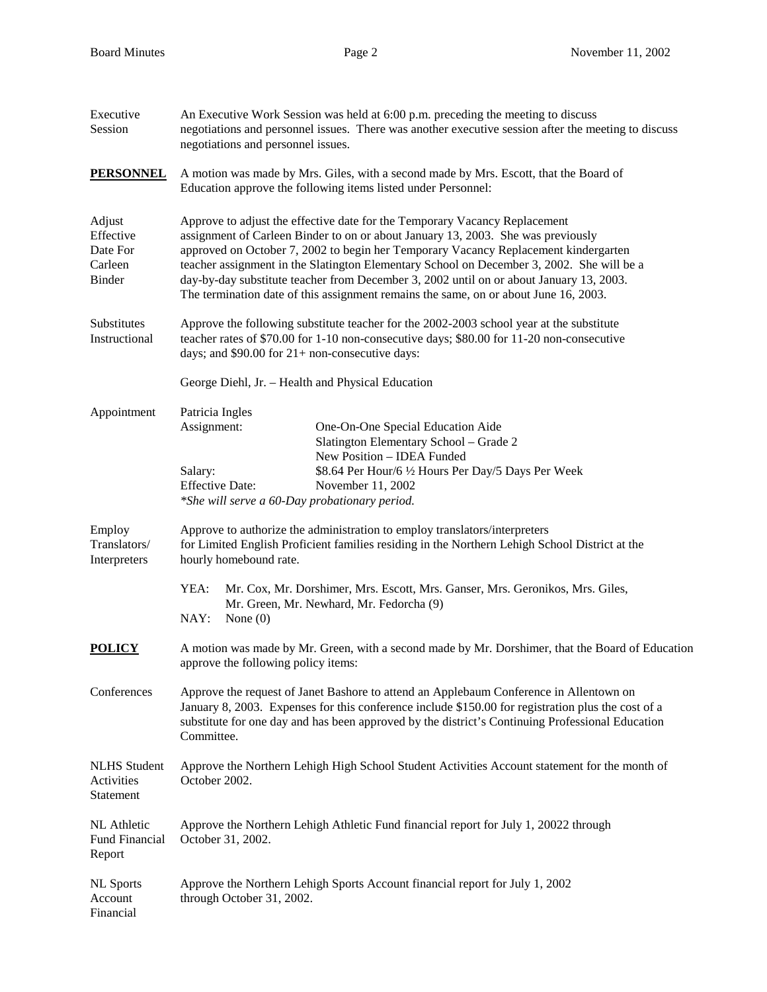| Executive<br>Session                                 | An Executive Work Session was held at 6:00 p.m. preceding the meeting to discuss<br>negotiations and personnel issues. There was another executive session after the meeting to discuss<br>negotiations and personnel issues.                                                                                                                                                                                                                                                                                                         |  |  |  |
|------------------------------------------------------|---------------------------------------------------------------------------------------------------------------------------------------------------------------------------------------------------------------------------------------------------------------------------------------------------------------------------------------------------------------------------------------------------------------------------------------------------------------------------------------------------------------------------------------|--|--|--|
| <b>PERSONNEL</b>                                     | A motion was made by Mrs. Giles, with a second made by Mrs. Escott, that the Board of<br>Education approve the following items listed under Personnel:                                                                                                                                                                                                                                                                                                                                                                                |  |  |  |
| Adjust<br>Effective<br>Date For<br>Carleen<br>Binder | Approve to adjust the effective date for the Temporary Vacancy Replacement<br>assignment of Carleen Binder to on or about January 13, 2003. She was previously<br>approved on October 7, 2002 to begin her Temporary Vacancy Replacement kindergarten<br>teacher assignment in the Slatington Elementary School on December 3, 2002. She will be a<br>day-by-day substitute teacher from December 3, 2002 until on or about January 13, 2003.<br>The termination date of this assignment remains the same, on or about June 16, 2003. |  |  |  |
| Substitutes<br>Instructional                         | Approve the following substitute teacher for the 2002-2003 school year at the substitute<br>teacher rates of \$70.00 for 1-10 non-consecutive days; \$80.00 for 11-20 non-consecutive<br>days; and $$90.00$ for $21+$ non-consecutive days:                                                                                                                                                                                                                                                                                           |  |  |  |
|                                                      | George Diehl, Jr. - Health and Physical Education                                                                                                                                                                                                                                                                                                                                                                                                                                                                                     |  |  |  |
| Appointment                                          | Patricia Ingles<br>Assignment:<br>One-On-One Special Education Aide<br>Slatington Elementary School - Grade 2<br>New Position - IDEA Funded                                                                                                                                                                                                                                                                                                                                                                                           |  |  |  |
|                                                      | Salary:<br>\$8.64 Per Hour/6 1/2 Hours Per Day/5 Days Per Week<br><b>Effective Date:</b><br>November 11, 2002<br>*She will serve a 60-Day probationary period.                                                                                                                                                                                                                                                                                                                                                                        |  |  |  |
| Employ<br>Translators/<br>Interpreters               | Approve to authorize the administration to employ translators/interpreters<br>for Limited English Proficient families residing in the Northern Lehigh School District at the<br>hourly homebound rate.                                                                                                                                                                                                                                                                                                                                |  |  |  |
|                                                      | YEA:<br>Mr. Cox, Mr. Dorshimer, Mrs. Escott, Mrs. Ganser, Mrs. Geronikos, Mrs. Giles,<br>Mr. Green, Mr. Newhard, Mr. Fedorcha (9)<br>NAY:<br>None $(0)$                                                                                                                                                                                                                                                                                                                                                                               |  |  |  |
| <b>POLICY</b>                                        | A motion was made by Mr. Green, with a second made by Mr. Dorshimer, that the Board of Education<br>approve the following policy items:                                                                                                                                                                                                                                                                                                                                                                                               |  |  |  |
| Conferences                                          | Approve the request of Janet Bashore to attend an Applebaum Conference in Allentown on<br>January 8, 2003. Expenses for this conference include \$150.00 for registration plus the cost of a<br>substitute for one day and has been approved by the district's Continuing Professional Education<br>Committee.                                                                                                                                                                                                                        |  |  |  |
| <b>NLHS</b> Student<br>Activities<br>Statement       | Approve the Northern Lehigh High School Student Activities Account statement for the month of<br>October 2002.                                                                                                                                                                                                                                                                                                                                                                                                                        |  |  |  |
| NL Athletic<br>Fund Financial<br>Report              | Approve the Northern Lehigh Athletic Fund financial report for July 1, 20022 through<br>October 31, 2002.                                                                                                                                                                                                                                                                                                                                                                                                                             |  |  |  |
| <b>NL</b> Sports<br>Account<br>Financial             | Approve the Northern Lehigh Sports Account financial report for July 1, 2002<br>through October 31, 2002.                                                                                                                                                                                                                                                                                                                                                                                                                             |  |  |  |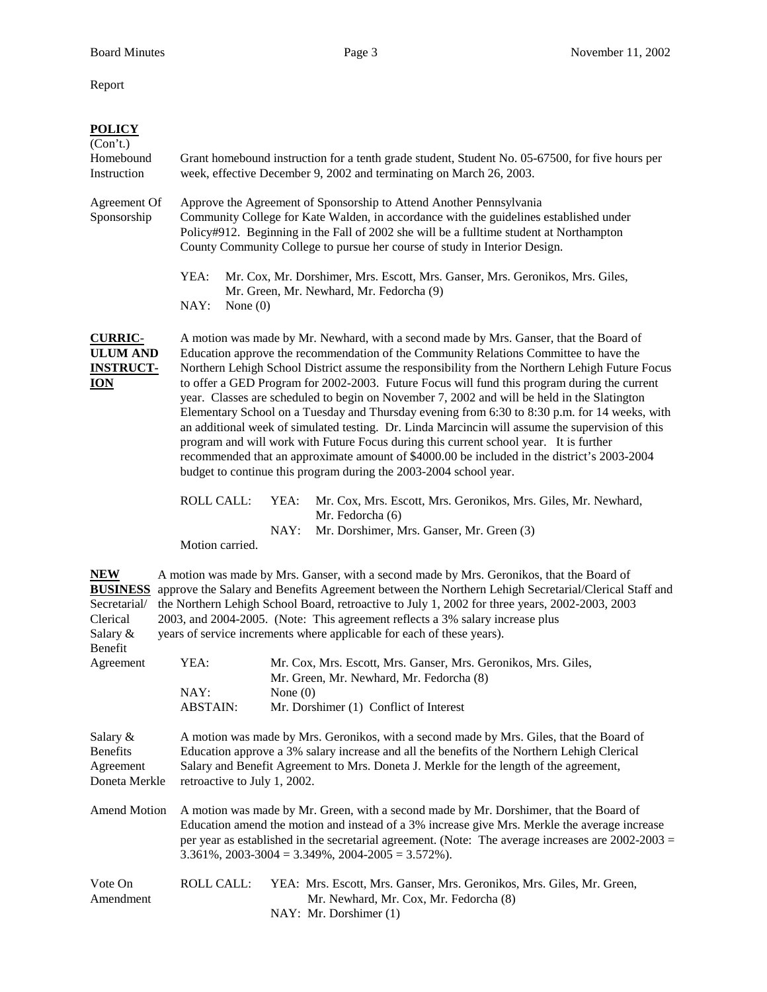Report

| <b>POLICY</b><br>(Con't.)<br>Homebound<br>Instruction                 | Grant homebound instruction for a tenth grade student, Student No. 05-67500, for five hours per<br>week, effective December 9, 2002 and terminating on March 26, 2003.                                                                                                                                                                 |                                                                                                                                                                                                                                                                                                                                                                                                                                                                                                                                                                                                                                                                                                                                                                                                                                                                                                                                                      |  |  |
|-----------------------------------------------------------------------|----------------------------------------------------------------------------------------------------------------------------------------------------------------------------------------------------------------------------------------------------------------------------------------------------------------------------------------|------------------------------------------------------------------------------------------------------------------------------------------------------------------------------------------------------------------------------------------------------------------------------------------------------------------------------------------------------------------------------------------------------------------------------------------------------------------------------------------------------------------------------------------------------------------------------------------------------------------------------------------------------------------------------------------------------------------------------------------------------------------------------------------------------------------------------------------------------------------------------------------------------------------------------------------------------|--|--|
| Agreement Of<br>Sponsorship                                           | Approve the Agreement of Sponsorship to Attend Another Pennsylvania<br>Community College for Kate Walden, in accordance with the guidelines established under<br>Policy#912. Beginning in the Fall of 2002 she will be a fulltime student at Northampton<br>County Community College to pursue her course of study in Interior Design. |                                                                                                                                                                                                                                                                                                                                                                                                                                                                                                                                                                                                                                                                                                                                                                                                                                                                                                                                                      |  |  |
|                                                                       | YEA:<br>NAY:<br>None $(0)$                                                                                                                                                                                                                                                                                                             | Mr. Cox, Mr. Dorshimer, Mrs. Escott, Mrs. Ganser, Mrs. Geronikos, Mrs. Giles,<br>Mr. Green, Mr. Newhard, Mr. Fedorcha (9)                                                                                                                                                                                                                                                                                                                                                                                                                                                                                                                                                                                                                                                                                                                                                                                                                            |  |  |
| <b>CURRIC-</b><br><b>ULUM AND</b><br><b>INSTRUCT-</b><br><b>ION</b>   |                                                                                                                                                                                                                                                                                                                                        | A motion was made by Mr. Newhard, with a second made by Mrs. Ganser, that the Board of<br>Education approve the recommendation of the Community Relations Committee to have the<br>Northern Lehigh School District assume the responsibility from the Northern Lehigh Future Focus<br>to offer a GED Program for 2002-2003. Future Focus will fund this program during the current<br>year. Classes are scheduled to begin on November 7, 2002 and will be held in the Slatington<br>Elementary School on a Tuesday and Thursday evening from 6:30 to 8:30 p.m. for 14 weeks, with<br>an additional week of simulated testing. Dr. Linda Marcincin will assume the supervision of this<br>program and will work with Future Focus during this current school year. It is further<br>recommended that an approximate amount of \$4000.00 be included in the district's 2003-2004<br>budget to continue this program during the 2003-2004 school year. |  |  |
|                                                                       | ROLL CALL:<br>Motion carried.                                                                                                                                                                                                                                                                                                          | YEA:<br>Mr. Cox, Mrs. Escott, Mrs. Geronikos, Mrs. Giles, Mr. Newhard,<br>Mr. Fedorcha (6)<br>NAY:<br>Mr. Dorshimer, Mrs. Ganser, Mr. Green (3)                                                                                                                                                                                                                                                                                                                                                                                                                                                                                                                                                                                                                                                                                                                                                                                                      |  |  |
| <b>NEW</b><br><b>BUSINESS</b><br>Secretarial/<br>Clerical<br>Salary & |                                                                                                                                                                                                                                                                                                                                        | A motion was made by Mrs. Ganser, with a second made by Mrs. Geronikos, that the Board of<br>approve the Salary and Benefits Agreement between the Northern Lehigh Secretarial/Clerical Staff and<br>the Northern Lehigh School Board, retroactive to July 1, 2002 for three years, 2002-2003, 2003<br>2003, and 2004-2005. (Note: This agreement reflects a 3% salary increase plus<br>years of service increments where applicable for each of these years).                                                                                                                                                                                                                                                                                                                                                                                                                                                                                       |  |  |
| Benefit<br>Agreement                                                  | YEA:<br>NAY:<br><b>ABSTAIN:</b>                                                                                                                                                                                                                                                                                                        | Mr. Cox, Mrs. Escott, Mrs. Ganser, Mrs. Geronikos, Mrs. Giles,<br>Mr. Green, Mr. Newhard, Mr. Fedorcha (8)<br>None $(0)$<br>Mr. Dorshimer (1) Conflict of Interest                                                                                                                                                                                                                                                                                                                                                                                                                                                                                                                                                                                                                                                                                                                                                                                   |  |  |
| Salary &<br><b>Benefits</b><br>Agreement<br>Doneta Merkle             | A motion was made by Mrs. Geronikos, with a second made by Mrs. Giles, that the Board of<br>Education approve a 3% salary increase and all the benefits of the Northern Lehigh Clerical<br>Salary and Benefit Agreement to Mrs. Doneta J. Merkle for the length of the agreement,<br>retroactive to July 1, 2002.                      |                                                                                                                                                                                                                                                                                                                                                                                                                                                                                                                                                                                                                                                                                                                                                                                                                                                                                                                                                      |  |  |
| Amend Motion                                                          |                                                                                                                                                                                                                                                                                                                                        | A motion was made by Mr. Green, with a second made by Mr. Dorshimer, that the Board of<br>Education amend the motion and instead of a 3% increase give Mrs. Merkle the average increase<br>per year as established in the secretarial agreement. (Note: The average increases are $2002-2003 =$<br>$3.361\%$ , $2003-3004 = 3.349\%$ , $2004-2005 = 3.572\%$ ).                                                                                                                                                                                                                                                                                                                                                                                                                                                                                                                                                                                      |  |  |
| Vote On<br>Amendment                                                  | <b>ROLL CALL:</b>                                                                                                                                                                                                                                                                                                                      | YEA: Mrs. Escott, Mrs. Ganser, Mrs. Geronikos, Mrs. Giles, Mr. Green,<br>Mr. Newhard, Mr. Cox, Mr. Fedorcha (8)<br>NAY: Mr. Dorshimer (1)                                                                                                                                                                                                                                                                                                                                                                                                                                                                                                                                                                                                                                                                                                                                                                                                            |  |  |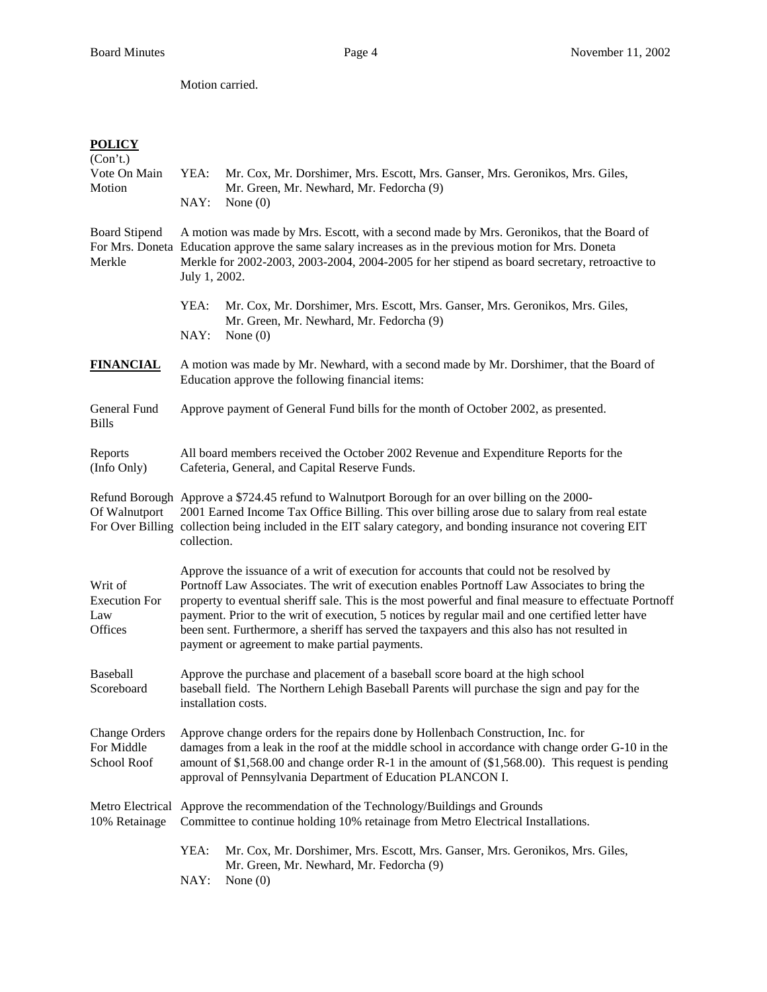Motion carried.

## **POLICY**

| (Con't.)<br>Vote On Main<br>Motion                | YEA:<br>NAY:                                                                                                                                                                                                                                                                                                                                                                                                                                                                                                                                         | Mr. Cox, Mr. Dorshimer, Mrs. Escott, Mrs. Ganser, Mrs. Geronikos, Mrs. Giles,<br>Mr. Green, Mr. Newhard, Mr. Fedorcha (9)<br>None $(0)$ |  |  |  |
|---------------------------------------------------|------------------------------------------------------------------------------------------------------------------------------------------------------------------------------------------------------------------------------------------------------------------------------------------------------------------------------------------------------------------------------------------------------------------------------------------------------------------------------------------------------------------------------------------------------|-----------------------------------------------------------------------------------------------------------------------------------------|--|--|--|
| <b>Board Stipend</b><br>Merkle                    | A motion was made by Mrs. Escott, with a second made by Mrs. Geronikos, that the Board of<br>For Mrs. Doneta Education approve the same salary increases as in the previous motion for Mrs. Doneta<br>Merkle for 2002-2003, 2003-2004, 2004-2005 for her stipend as board secretary, retroactive to<br>July 1, 2002.                                                                                                                                                                                                                                 |                                                                                                                                         |  |  |  |
|                                                   | YEA:<br>NAY:                                                                                                                                                                                                                                                                                                                                                                                                                                                                                                                                         | Mr. Cox, Mr. Dorshimer, Mrs. Escott, Mrs. Ganser, Mrs. Geronikos, Mrs. Giles,<br>Mr. Green, Mr. Newhard, Mr. Fedorcha (9)<br>None $(0)$ |  |  |  |
| <b>FINANCIAL</b>                                  | A motion was made by Mr. Newhard, with a second made by Mr. Dorshimer, that the Board of<br>Education approve the following financial items:                                                                                                                                                                                                                                                                                                                                                                                                         |                                                                                                                                         |  |  |  |
| General Fund<br><b>Bills</b>                      | Approve payment of General Fund bills for the month of October 2002, as presented.                                                                                                                                                                                                                                                                                                                                                                                                                                                                   |                                                                                                                                         |  |  |  |
| Reports<br>(Info Only)                            | All board members received the October 2002 Revenue and Expenditure Reports for the<br>Cafeteria, General, and Capital Reserve Funds.                                                                                                                                                                                                                                                                                                                                                                                                                |                                                                                                                                         |  |  |  |
| Of Walnutport                                     | Refund Borough Approve a \$724.45 refund to Walnutport Borough for an over billing on the 2000-<br>2001 Earned Income Tax Office Billing. This over billing arose due to salary from real estate<br>For Over Billing collection being included in the EIT salary category, and bonding insurance not covering EIT<br>collection.                                                                                                                                                                                                                     |                                                                                                                                         |  |  |  |
| Writ of<br><b>Execution For</b><br>Law<br>Offices | Approve the issuance of a writ of execution for accounts that could not be resolved by<br>Portnoff Law Associates. The writ of execution enables Portnoff Law Associates to bring the<br>property to eventual sheriff sale. This is the most powerful and final measure to effectuate Portnoff<br>payment. Prior to the writ of execution, 5 notices by regular mail and one certified letter have<br>been sent. Furthermore, a sheriff has served the taxpayers and this also has not resulted in<br>payment or agreement to make partial payments. |                                                                                                                                         |  |  |  |
| Baseball<br>Scoreboard                            | Approve the purchase and placement of a baseball score board at the high school<br>baseball field. The Northern Lehigh Baseball Parents will purchase the sign and pay for the<br>installation costs.                                                                                                                                                                                                                                                                                                                                                |                                                                                                                                         |  |  |  |
| <b>Change Orders</b><br>For Middle<br>School Roof | Approve change orders for the repairs done by Hollenbach Construction, Inc. for<br>damages from a leak in the roof at the middle school in accordance with change order G-10 in the<br>amount of $$1,568.00$ and change order R-1 in the amount of $($1,568.00)$ . This request is pending<br>approval of Pennsylvania Department of Education PLANCON I.                                                                                                                                                                                            |                                                                                                                                         |  |  |  |
| 10% Retainage                                     | Metro Electrical Approve the recommendation of the Technology/Buildings and Grounds<br>Committee to continue holding 10% retainage from Metro Electrical Installations.                                                                                                                                                                                                                                                                                                                                                                              |                                                                                                                                         |  |  |  |
|                                                   | YEA:<br>NAY:                                                                                                                                                                                                                                                                                                                                                                                                                                                                                                                                         | Mr. Cox, Mr. Dorshimer, Mrs. Escott, Mrs. Ganser, Mrs. Geronikos, Mrs. Giles,<br>Mr. Green, Mr. Newhard, Mr. Fedorcha (9)<br>None $(0)$ |  |  |  |